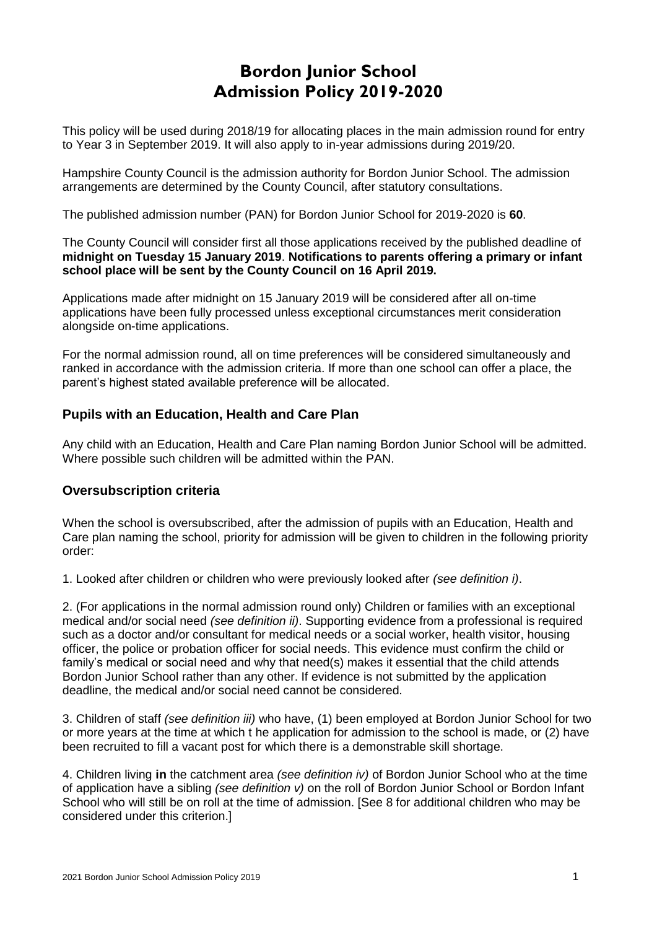# **Bordon Junior School Admission Policy 2019-2020**

This policy will be used during 2018/19 for allocating places in the main admission round for entry to Year 3 in September 2019. It will also apply to in-year admissions during 2019/20.

Hampshire County Council is the admission authority for Bordon Junior School. The admission arrangements are determined by the County Council, after statutory consultations.

The published admission number (PAN) for Bordon Junior School for 2019-2020 is **60**.

The County Council will consider first all those applications received by the published deadline of **midnight on Tuesday 15 January 2019**. **Notifications to parents offering a primary or infant school place will be sent by the County Council on 16 April 2019.**

Applications made after midnight on 15 January 2019 will be considered after all on-time applications have been fully processed unless exceptional circumstances merit consideration alongside on-time applications.

For the normal admission round, all on time preferences will be considered simultaneously and ranked in accordance with the admission criteria. If more than one school can offer a place, the parent's highest stated available preference will be allocated.

# **Pupils with an Education, Health and Care Plan**

Any child with an Education, Health and Care Plan naming Bordon Junior School will be admitted. Where possible such children will be admitted within the PAN.

# **Oversubscription criteria**

When the school is oversubscribed, after the admission of pupils with an Education, Health and Care plan naming the school, priority for admission will be given to children in the following priority order:

1. Looked after children or children who were previously looked after *(see definition i)*.

2. (For applications in the normal admission round only) Children or families with an exceptional medical and/or social need *(see definition ii)*. Supporting evidence from a professional is required such as a doctor and/or consultant for medical needs or a social worker, health visitor, housing officer, the police or probation officer for social needs. This evidence must confirm the child or family's medical or social need and why that need(s) makes it essential that the child attends Bordon Junior School rather than any other. If evidence is not submitted by the application deadline, the medical and/or social need cannot be considered.

3. Children of staff *(see definition iii)* who have, (1) been employed at Bordon Junior School for two or more years at the time at which t he application for admission to the school is made, or (2) have been recruited to fill a vacant post for which there is a demonstrable skill shortage.

4. Children living **in** the catchment area *(see definition iv)* of Bordon Junior School who at the time of application have a sibling *(see definition v)* on the roll of Bordon Junior School or Bordon Infant School who will still be on roll at the time of admission. [See 8 for additional children who may be considered under this criterion.]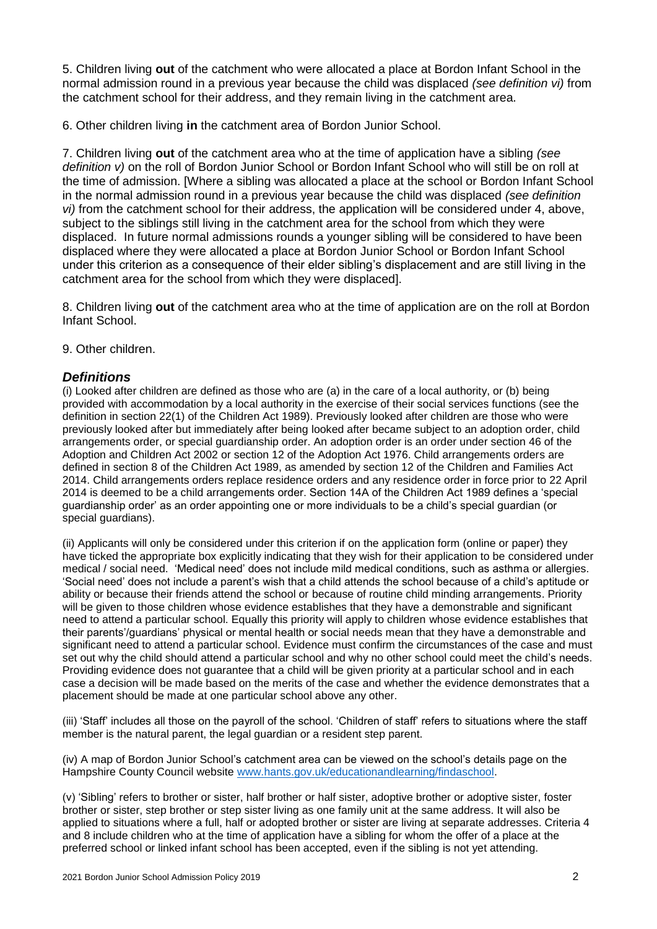5. Children living **out** of the catchment who were allocated a place at Bordon Infant School in the normal admission round in a previous year because the child was displaced *(see definition vi)* from the catchment school for their address, and they remain living in the catchment area.

6. Other children living **in** the catchment area of Bordon Junior School.

7. Children living **out** of the catchment area who at the time of application have a sibling *(see definition v)* on the roll of Bordon Junior School or Bordon Infant School who will still be on roll at the time of admission. [Where a sibling was allocated a place at the school or Bordon Infant School in the normal admission round in a previous year because the child was displaced *(see definition vi)* from the catchment school for their address, the application will be considered under 4, above, subject to the siblings still living in the catchment area for the school from which they were displaced. In future normal admissions rounds a younger sibling will be considered to have been displaced where they were allocated a place at Bordon Junior School or Bordon Infant School under this criterion as a consequence of their elder sibling's displacement and are still living in the catchment area for the school from which they were displaced].

8. Children living **out** of the catchment area who at the time of application are on the roll at Bordon Infant School.

9. Other children.

#### *Definitions*

(i) Looked after children are defined as those who are (a) in the care of a local authority, or (b) being provided with accommodation by a local authority in the exercise of their social services functions (see the definition in section 22(1) of the Children Act 1989). Previously looked after children are those who were previously looked after but immediately after being looked after became subject to an adoption order, child arrangements order, or special guardianship order. An adoption order is an order under section 46 of the Adoption and Children Act 2002 or section 12 of the Adoption Act 1976. Child arrangements orders are defined in section 8 of the Children Act 1989, as amended by section 12 of the Children and Families Act 2014. Child arrangements orders replace residence orders and any residence order in force prior to 22 April 2014 is deemed to be a child arrangements order. Section 14A of the Children Act 1989 defines a 'special guardianship order' as an order appointing one or more individuals to be a child's special guardian (or special guardians).

(ii) Applicants will only be considered under this criterion if on the application form (online or paper) they have ticked the appropriate box explicitly indicating that they wish for their application to be considered under medical / social need. 'Medical need' does not include mild medical conditions, such as asthma or allergies. 'Social need' does not include a parent's wish that a child attends the school because of a child's aptitude or ability or because their friends attend the school or because of routine child minding arrangements. Priority will be given to those children whose evidence establishes that they have a demonstrable and significant need to attend a particular school. Equally this priority will apply to children whose evidence establishes that their parents'/guardians' physical or mental health or social needs mean that they have a demonstrable and significant need to attend a particular school. Evidence must confirm the circumstances of the case and must set out why the child should attend a particular school and why no other school could meet the child's needs. Providing evidence does not guarantee that a child will be given priority at a particular school and in each case a decision will be made based on the merits of the case and whether the evidence demonstrates that a placement should be made at one particular school above any other.

(iii) 'Staff' includes all those on the payroll of the school. 'Children of staff' refers to situations where the staff member is the natural parent, the legal guardian or a resident step parent.

(iv) A map of Bordon Junior School's catchment area can be viewed on the school's details page on the Hampshire County Council website [www.hants.gov.uk/educationandlearning/findaschool.](http://www.hants.gov.uk/educationandlearning/findaschool)

(v) 'Sibling' refers to brother or sister, half brother or half sister, adoptive brother or adoptive sister, foster brother or sister, step brother or step sister living as one family unit at the same address. It will also be applied to situations where a full, half or adopted brother or sister are living at separate addresses. Criteria 4 and 8 include children who at the time of application have a sibling for whom the offer of a place at the preferred school or linked infant school has been accepted, even if the sibling is not yet attending.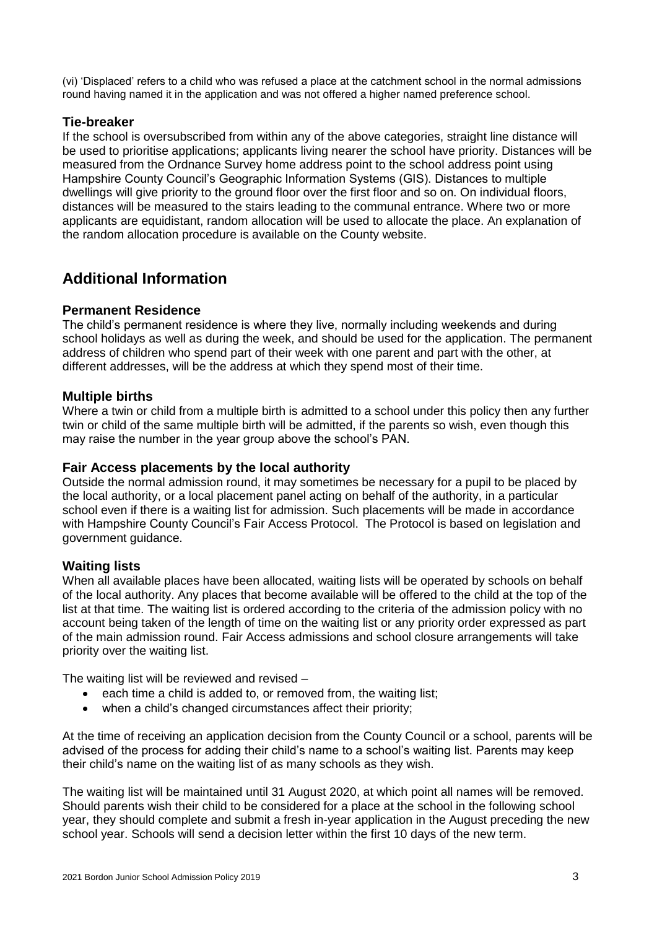(vi) 'Displaced' refers to a child who was refused a place at the catchment school in the normal admissions round having named it in the application and was not offered a higher named preference school.

# **Tie-breaker**

If the school is oversubscribed from within any of the above categories, straight line distance will be used to prioritise applications; applicants living nearer the school have priority. Distances will be measured from the Ordnance Survey home address point to the school address point using Hampshire County Council's Geographic Information Systems (GIS). Distances to multiple dwellings will give priority to the ground floor over the first floor and so on. On individual floors, distances will be measured to the stairs leading to the communal entrance. Where two or more applicants are equidistant, random allocation will be used to allocate the place. An explanation of the random allocation procedure is available on the County website.

# **Additional Information**

### **Permanent Residence**

The child's permanent residence is where they live, normally including weekends and during school holidays as well as during the week, and should be used for the application. The permanent address of children who spend part of their week with one parent and part with the other, at different addresses, will be the address at which they spend most of their time.

# **Multiple births**

Where a twin or child from a multiple birth is admitted to a school under this policy then any further twin or child of the same multiple birth will be admitted, if the parents so wish, even though this may raise the number in the year group above the school's PAN.

### **Fair Access placements by the local authority**

Outside the normal admission round, it may sometimes be necessary for a pupil to be placed by the local authority, or a local placement panel acting on behalf of the authority, in a particular school even if there is a waiting list for admission. Such placements will be made in accordance with Hampshire County Council's Fair Access Protocol. The Protocol is based on legislation and government guidance.

### **Waiting lists**

When all available places have been allocated, waiting lists will be operated by schools on behalf of the local authority. Any places that become available will be offered to the child at the top of the list at that time. The waiting list is ordered according to the criteria of the admission policy with no account being taken of the length of time on the waiting list or any priority order expressed as part of the main admission round. Fair Access admissions and school closure arrangements will take priority over the waiting list.

The waiting list will be reviewed and revised –

- each time a child is added to, or removed from, the waiting list;
- when a child's changed circumstances affect their priority;

At the time of receiving an application decision from the County Council or a school, parents will be advised of the process for adding their child's name to a school's waiting list. Parents may keep their child's name on the waiting list of as many schools as they wish.

The waiting list will be maintained until 31 August 2020, at which point all names will be removed. Should parents wish their child to be considered for a place at the school in the following school year, they should complete and submit a fresh in-year application in the August preceding the new school year. Schools will send a decision letter within the first 10 days of the new term.